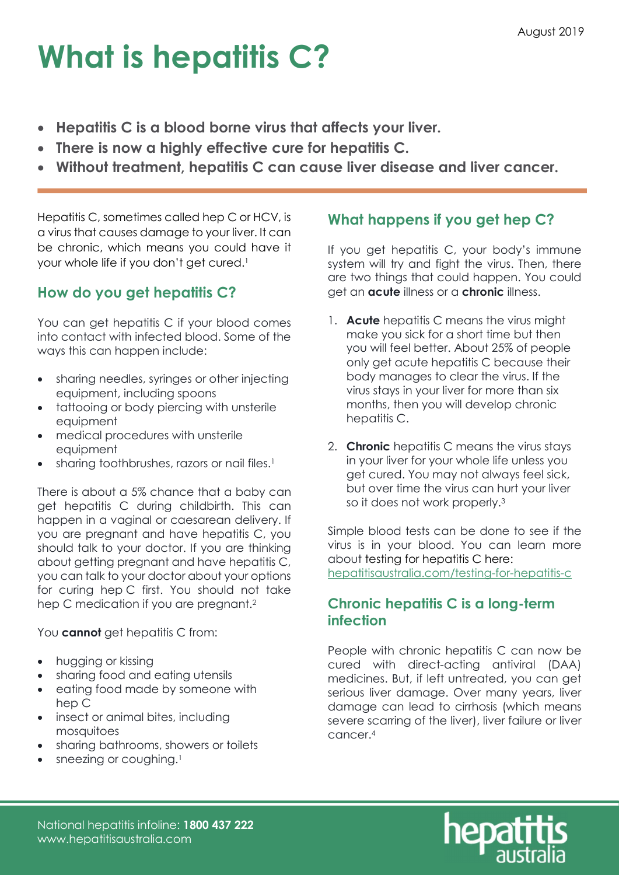# What is hepatitis C?

- Hepatitis C is a blood borne virus that affects your liver.
- There is now a highly effective cure for hepatitis C.
- Without treatment, hepatitis C can cause liver disease and liver cancer.

Hepatitis C, sometimes called hep C or HCV, is a virus that causes damage to your liver. It can be chronic, which means you could have it your whole life if you don't get cured.<sup>1</sup>

## How do you get hepatitis C?

You can get hepatitis C if your blood comes into contact with infected blood. Some of the ways this can happen include:

- sharing needles, syringes or other injecting equipment, including spoons
- tattooing or body piercing with unsterile equipment
- medical procedures with unsterile equipment
- sharing toothbrushes, razors or nail files.<sup>1</sup>

There is about a 5% chance that a baby can get hepatitis C during childbirth. This can happen in a vaginal or caesarean delivery. If you are pregnant and have hepatitis C, you should talk to your doctor. If you are thinking about getting pregnant and have hepatitis C, you can talk to your doctor about your options for curing hep C first. You should not take hep C medication if you are pregnant.<sup>2</sup>

You **cannot** get hepatitis C from:

- hugging or kissing
- sharing food and eating utensils
- eating food made by someone with hep C
- insect or animal bites, including mosquitoes
- sharing bathrooms, showers or toilets
- sneezing or coughing.<sup>1</sup>

### What happens if you get hep C?

If you get hepatitis C, your body's immune system will try and fight the virus. Then, there are two things that could happen. You could get an **acute** illness or a **chronic** illness.

- 1. Acute hepatitis C means the virus might make you sick for a short time but then you will feel better. About 25% of people only get acute hepatitis C because their body manages to clear the virus. If the virus stays in your liver for more than six months, then you will develop chronic hepatitis C.
- 2. **Chronic** hepatitis C means the virus stays in your liver for your whole life unless you get cured. You may not always feel sick, but over time the virus can hurt your liver so it does not work properly.<sup>3</sup>

Simple blood tests can be done to see if the virus is in your blood. You can learn more about testing for hepatitis C here: hepatitisaustralia.com/testing-for-hepatitis-c

### Chronic hepatitis C is a long-term infection

People with chronic hepatitis C can now be cured with direct-acting antiviral (DAA) medicines. But, if left untreated, you can get serious liver damage. Over many years, liver damage can lead to cirrhosis (which means severe scarring of the liver), liver failure or liver cancer.4